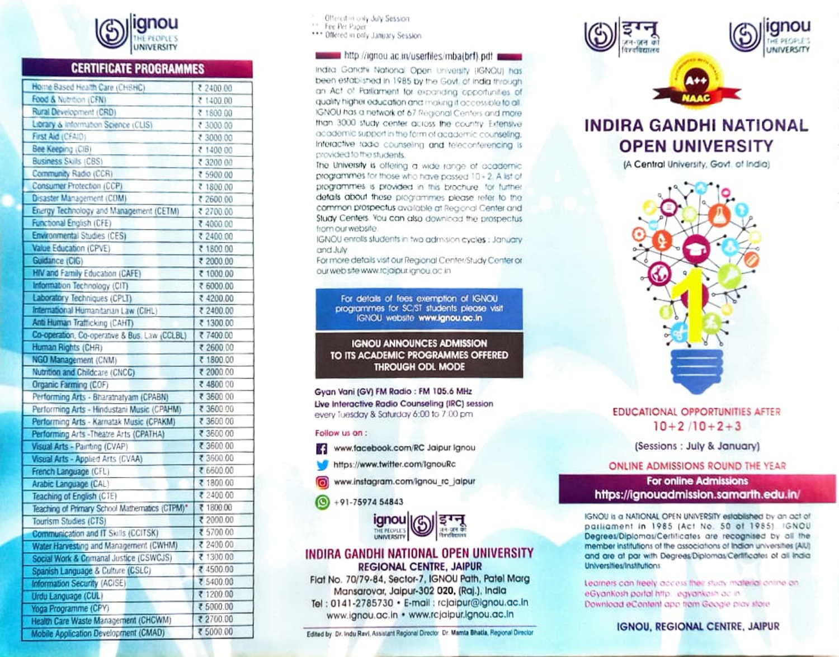

## **CERTIFICATE PROGRAMMES**

| Home Based Health Care (CHSHC)                 | ₹ 2400.00 |
|------------------------------------------------|-----------|
| Food & Nutrition (CFN)                         | ₹ 1400.00 |
| Rural Development (CRD)                        | ₹ 1800.00 |
| Library & Information Science (CLIS)           | ₹ 3000.00 |
| First Aid (CFAID)                              | ₹ 3000.00 |
| Bee Keeping (CIB)                              | ₹ 1400.00 |
| <b>Business Skills (CBS)</b>                   | ₹ 3200.00 |
| Community Radio (CCR)                          | ₹ 5900.00 |
| Consumer Protection (CCP)                      | ₹ 1800.00 |
| Disaster Management (CDM)                      | ₹ 2600.00 |
| Energy Technology and Management (CETM)        | ₹ 2700.00 |
| Functional English (CFE)                       | ₹ 4000.00 |
| Environmental Studies (CES)                    | ₹ 2400.00 |
| Value Education (CPVE)                         | ₹ 1800 00 |
| Guidance (CIG)                                 | ₹ 2000.00 |
| HIV and Farnily Education (CAFE)               | ₹ 1000.00 |
| Information Technology (CIT)                   | ₹ 6000.00 |
| Laboratory Techniques (CPLT)                   | ₹ 4200.00 |
| International Humanitarian Law (CIHL)          | ₹ 2400.00 |
| Anti Human Trafficking (CAHT)                  | ₹ 1300.00 |
| Co-operation, Co-operative & Bus, Law (CCLBL)  | ₹ 7400.00 |
| Human Rights (CHR)                             | ₹ 2600.00 |
| NGO Management (CNM)                           | ₹ 1800.00 |
| Nutrition and Childcare (CNCC)                 | ₹ 2000.00 |
| Organic Farming (COF)                          | ₹ 4800.00 |
| Performing Arts - Bharatnatyam (CPABN)         | ₹ 3600.00 |
| Performing Arts - Hindustani Music (CPAHM)     | ₹ 3600.00 |
| Performing Arts - Karnatak Music (CPAKM)       | ₹ 3600.00 |
| Performing Arts - Theatre Arts (CPATHA)        | ₹ 3600.00 |
| Visual Arts - Painting (CVAP)                  | ₹ 3600.00 |
| Visual Arts - Applied Arts (CVAA)              | ₹ 3600.00 |
| French Language (CFL)                          | ₹ 6600.00 |
| Arabic Language (CAL)                          | ₹ 1800.00 |
| Teaching of English (CTE)                      | ₹ 2400.00 |
| Teaching of Primary School Mathematics (CTPM)* | ₹ 1800.00 |
| Tourism Studies (CTS)                          | ₹ 2000.00 |
| Communication and IT Skills (CCITSK)           | ₹ 5700.00 |
| Water Harvesting and Management (CWHM)         | ₹ 2400.00 |
| Social Work & Crimanal Justice (CSWCJS)        | ₹ 1300.00 |
| Spanish Language & Culture (CSLC)              | ₹ 4500.00 |
| Information Security (ACISE)                   | ₹ 5400.00 |
| Urdu Language (CUL)                            | ₹ 1200.00 |
| Yoga Programme (CPY)                           | ₹ 5000.00 |
| Health Care Waste Management (CHCWM)           | ₹ 2700.00 |
| Mobile Annication Development (CMAD)           | ₹ 5000.00 |

Offered in only July Session 11 Fee Per Paper \*\*\* Offered in only January Session

#### http://ignou.ac.in/userfiles/mba(brf).pdf

India Gondhi National Open University (IGNOU) has been established in 1985 by the Govt. of India through an Act of Paillament for exponding opportunities of quality higher education and making it access ble to all. IGNOU has a network of 67 Regional Centers and mare than 3000 study center across the country. Extensive academic support in the form of academic counseling. Interactive tadio counseling and teleconferencing is provided to the students.

The University is offering a wide range of academic programmes for those who have passed 10+2. A list of programmes is provided in this brochure, for further details about these programmes please refer to the common prospectus available at Regional Center and Study Centers. You can also download the prospectus. from our website.

IGNOU enrolls students in two admision cycles : January and July

For more details visit our Regional Center/Study Center or our web site www.rcjaipur.ignou.ac.in

For details of fees exemption of IGNOU programmes for SC/ST students please visit IGNOU website www.ignou.oc.in

#### **IGNOU ANNOUNCES ADMISSION** TO ITS ACADEMIC PROGRAMMES OFFERED **THROUGH ODL MODE**

Gvan Vani (GV) FM Radio : FM 105.6 MHz Live Interactive Radio Counseling (IRC) session every Tuesday & Saturday 6:00 to 7:00 pm.

#### Follow us on:

- www.facebook.com/RC Jaipur.lgnou
	- https://www.twitter.com/IgnouRc
	- www.instagram.com/ignou\_rc\_jalpur
- $+91 7597454843$



#### INDIRA GANDHI NATIONAL OPEN UNIVERSITY **REGIONAL CENTRE, JAIPUR**

Flat No. 70/79-84, Sector-7, IGNOU Path, Patel Marg Mansarovar, Jaipur-302 020, (Raj.), India Tel: 0141-2785730 · E-mail: rcjaipur@ignou.ac.in www.ignou.ac.in • www.rcjaipur.ignou.ac.in

Edited by, Dr. Indu Ravi, Assistant Regional Director, Dr. Mamta Bhatla, Regional Director



## **INDIRA GANDHI NATIONAL OPEN UNIVERSITY**

(A Central University, Govt. of India)



### **EDUCATIONAL OPPORTUNITIES AFTER**  $10+2/10+2+3$

(Sessions: July & January)

ONLINE ADMISSIONS ROUND THE YEAR

#### **For online Admissions** https://ignouadmission.samarth.edu.in/

IGNOU is a NATIONAL OPEN UNIVERSITY established by an act of parliament in 1985 (Act No. 50 of 1985). IGNOU Degrees/Diplomas/Certificates are recognised by all the member institutions of the associations of Indian universities (AIU) and are at par with Degrees/Diplomas/Certificates of all India **Universities/Institutions** 

Learners can freely access their study material online on eGyankosh portal http://eqyankosh.ac.in. Download eContent app from Google play state

**IGNOU, REGIONAL CENTRE, JAIPUR**